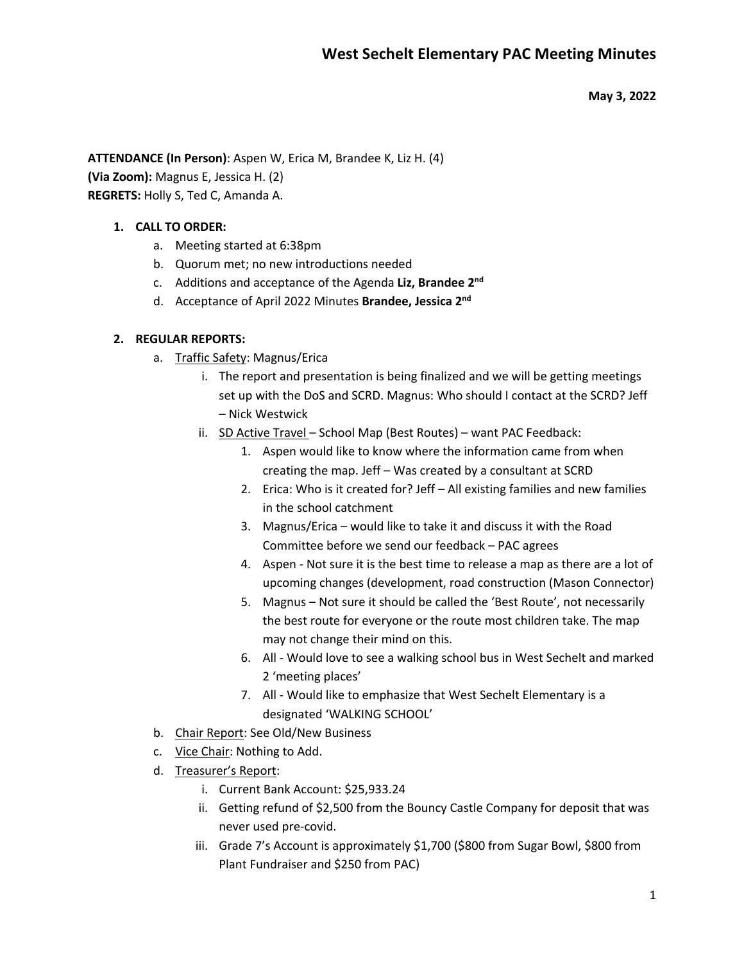**May 3, 2022**

**ATTENDANCE (In Person)**: Aspen W, Erica M, Brandee K, Liz H. (4) **(Via Zoom):** Magnus E, Jessica H. (2)

**REGRETS:** Holly S, Ted C, Amanda A.

# **1. CALL TO ORDER:**

- a. Meeting started at 6:38pm
- b. Quorum met; no new introductions needed
- c. Additions and acceptance of the Agenda **Liz, Brandee 2nd**
- d. Acceptance of April 2022 Minutes **Brandee, Jessica 2nd**

# **2. REGULAR REPORTS:**

- a. Traffic Safety: Magnus/Erica
	- i. The report and presentation is being finalized and we will be getting meetings set up with the DoS and SCRD. Magnus: Who should I contact at the SCRD? Jeff – Nick Westwick
	- ii. SD Active Travel School Map (Best Routes) want PAC Feedback:
		- 1. Aspen would like to know where the information came from when creating the map. Jeff – Was created by a consultant at SCRD
		- 2. Erica: Who is it created for? Jeff All existing families and new families in the school catchment
		- 3. Magnus/Erica would like to take it and discuss it with the Road Committee before we send our feedback – PAC agrees
		- 4. Aspen Not sure it is the best time to release a map as there are a lot of upcoming changes (development, road construction (Mason Connector)
		- 5. Magnus Not sure it should be called the 'Best Route', not necessarily the best route for everyone or the route most children take. The map may not change their mind on this.
		- 6. All Would love to see a walking school bus in West Sechelt and marked 2 'meeting places'
		- 7. All Would like to emphasize that West Sechelt Elementary is a designated 'WALKING SCHOOL'
- b. Chair Report: See Old/New Business
- c. Vice Chair: Nothing to Add.
- d. Treasurer's Report:
	- i. Current Bank Account: \$25,933.24
	- ii. Getting refund of \$2,500 from the Bouncy Castle Company for deposit that was never used pre-covid.
	- iii. Grade 7's Account is approximately \$1,700 (\$800 from Sugar Bowl, \$800 from Plant Fundraiser and \$250 from PAC)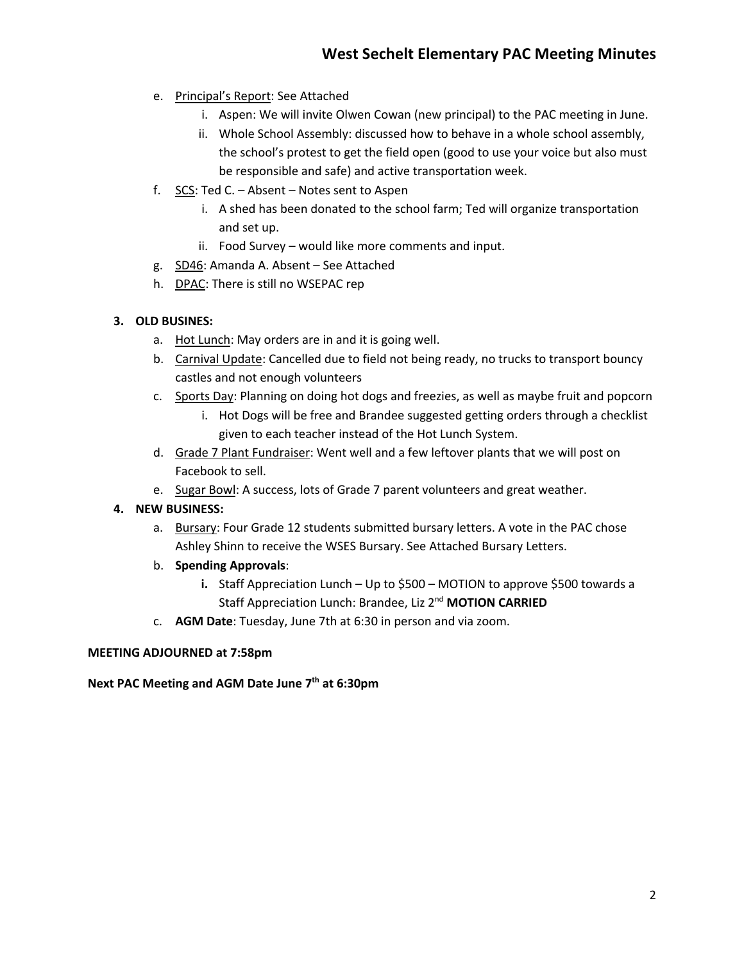- e. Principal's Report: See Attached
	- i. Aspen: We will invite Olwen Cowan (new principal) to the PAC meeting in June.
	- ii. Whole School Assembly: discussed how to behave in a whole school assembly, the school's protest to get the field open (good to use your voice but also must be responsible and safe) and active transportation week.
- f. SCS: Ted C. Absent Notes sent to Aspen
	- i. A shed has been donated to the school farm; Ted will organize transportation and set up.
	- ii. Food Survey would like more comments and input.
- g. SD46: Amanda A. Absent See Attached
- h. DPAC: There is still no WSEPAC rep

## **3. OLD BUSINES:**

- a. Hot Lunch: May orders are in and it is going well.
- b. Carnival Update: Cancelled due to field not being ready, no trucks to transport bouncy castles and not enough volunteers
- c. Sports Day: Planning on doing hot dogs and freezies, as well as maybe fruit and popcorn
	- i. Hot Dogs will be free and Brandee suggested getting orders through a checklist given to each teacher instead of the Hot Lunch System.
- d. Grade 7 Plant Fundraiser: Went well and a few leftover plants that we will post on Facebook to sell.
- e. Sugar Bowl: A success, lots of Grade 7 parent volunteers and great weather.

## **4. NEW BUSINESS:**

- a. Bursary: Four Grade 12 students submitted bursary letters. A vote in the PAC chose Ashley Shinn to receive the WSES Bursary. See Attached Bursary Letters.
- b. **Spending Approvals**:
	- **i.** Staff Appreciation Lunch Up to \$500 MOTION to approve \$500 towards a Staff Appreciation Lunch: Brandee, Liz 2nd **MOTION CARRIED**
- c. **AGM Date**: Tuesday, June 7th at 6:30 in person and via zoom.

#### **MEETING ADJOURNED at 7:58pm**

**Next PAC Meeting and AGM Date June 7th at 6:30pm**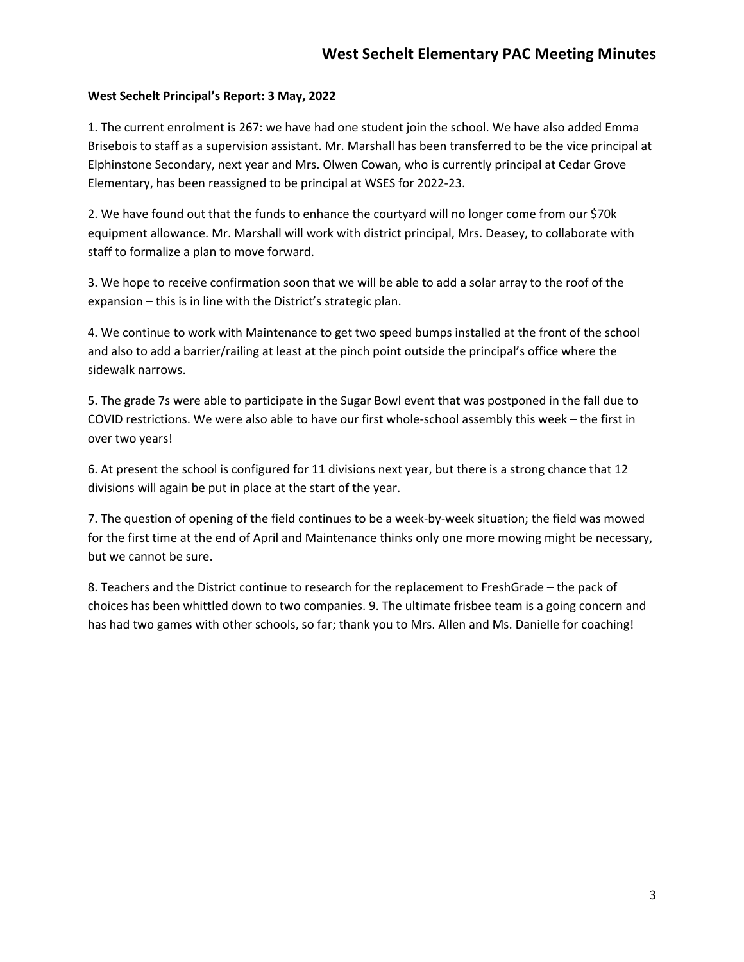## **West Sechelt Principal's Report: 3 May, 2022**

1. The current enrolment is 267: we have had one student join the school. We have also added Emma Brisebois to staff as a supervision assistant. Mr. Marshall has been transferred to be the vice principal at Elphinstone Secondary, next year and Mrs. Olwen Cowan, who is currently principal at Cedar Grove Elementary, has been reassigned to be principal at WSES for 2022-23.

2. We have found out that the funds to enhance the courtyard will no longer come from our \$70k equipment allowance. Mr. Marshall will work with district principal, Mrs. Deasey, to collaborate with staff to formalize a plan to move forward.

3. We hope to receive confirmation soon that we will be able to add a solar array to the roof of the expansion – this is in line with the District's strategic plan.

4. We continue to work with Maintenance to get two speed bumps installed at the front of the school and also to add a barrier/railing at least at the pinch point outside the principal's office where the sidewalk narrows.

5. The grade 7s were able to participate in the Sugar Bowl event that was postponed in the fall due to COVID restrictions. We were also able to have our first whole-school assembly this week – the first in over two years!

6. At present the school is configured for 11 divisions next year, but there is a strong chance that 12 divisions will again be put in place at the start of the year.

7. The question of opening of the field continues to be a week-by-week situation; the field was mowed for the first time at the end of April and Maintenance thinks only one more mowing might be necessary, but we cannot be sure.

8. Teachers and the District continue to research for the replacement to FreshGrade – the pack of choices has been whittled down to two companies. 9. The ultimate frisbee team is a going concern and has had two games with other schools, so far; thank you to Mrs. Allen and Ms. Danielle for coaching!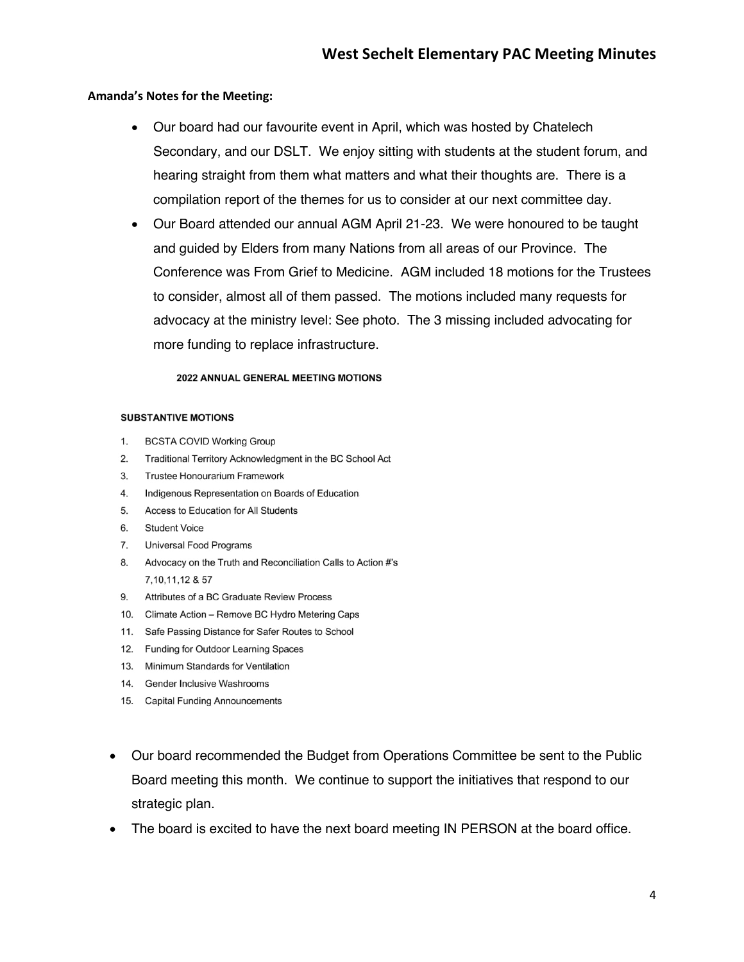#### **Amanda's Notes for the Meeting:**

- Our board had our favourite event in April, which was hosted by Chatelech Secondary, and our DSLT. We enjoy sitting with students at the student forum, and hearing straight from them what matters and what their thoughts are. There is a compilation report of the themes for us to consider at our next committee day.
- Our Board attended our annual AGM April 21-23. We were honoured to be taught and guided by Elders from many Nations from all areas of our Province. The Conference was From Grief to Medicine. AGM included 18 motions for the Trustees to consider, almost all of them passed. The motions included many requests for advocacy at the ministry level: See photo. The 3 missing included advocating for more funding to replace infrastructure.

#### 2022 ANNUAL GENERAL MEETING MOTIONS

#### **SUBSTANTIVE MOTIONS**

- $1.$ **BCSTA COVID Working Group**
- $2.$ Traditional Territory Acknowledgment in the BC School Act
- Trustee Honourarium Framework  $3<sup>1</sup>$
- Indigenous Representation on Boards of Education 4.
- Access to Education for All Students 5.
- 6. **Student Voice**
- 7. **Universal Food Programs**
- Advocacy on the Truth and Reconciliation Calls to Action #'s 8. 7, 10, 11, 12 & 57
- 9. Attributes of a BC Graduate Review Process
- 10. Climate Action Remove BC Hydro Metering Caps
- 11. Safe Passing Distance for Safer Routes to School
- 12. Funding for Outdoor Learning Spaces
- 13. Minimum Standards for Ventilation
- 14. Gender Inclusive Washrooms
- 15. Capital Funding Announcements
- Our board recommended the Budget from Operations Committee be sent to the Public Board meeting this month. We continue to support the initiatives that respond to our strategic plan.
- The board is excited to have the next board meeting IN PERSON at the board office.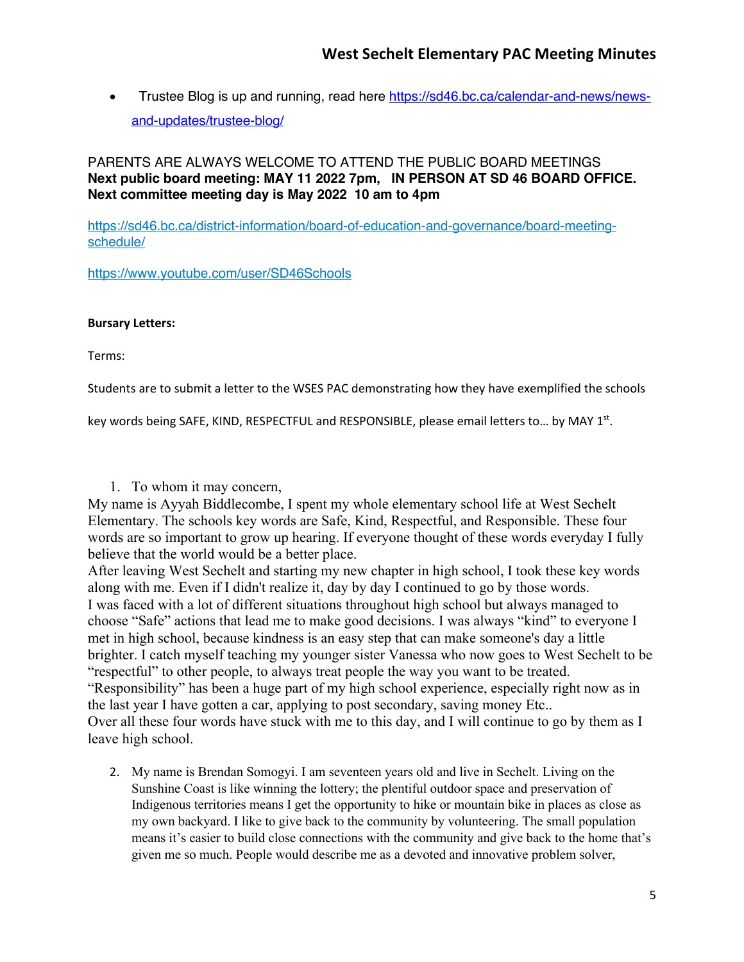• Trustee Blog is up and running, read here https://sd46.bc.ca/calendar-and-news/newsand-updates/trustee-blog/

PARENTS ARE ALWAYS WELCOME TO ATTEND THE PUBLIC BOARD MEETINGS **Next public board meeting: MAY 11 2022 7pm, IN PERSON AT SD 46 BOARD OFFICE. Next committee meeting day is May 2022 10 am to 4pm**

https://sd46.bc.ca/district-information/board-of-education-and-governance/board-meetingschedule/

https://www.youtube.com/user/SD46Schools

### **Bursary Letters:**

Terms:

Students are to submit a letter to the WSES PAC demonstrating how they have exemplified the schools

key words being SAFE, KIND, RESPECTFUL and RESPONSIBLE, please email letters to... by MAY 1st.

1. To whom it may concern,

My name is Ayyah Biddlecombe, I spent my whole elementary school life at West Sechelt Elementary. The schools key words are Safe, Kind, Respectful, and Responsible. These four words are so important to grow up hearing. If everyone thought of these words everyday I fully believe that the world would be a better place.

After leaving West Sechelt and starting my new chapter in high school, I took these key words along with me. Even if I didn't realize it, day by day I continued to go by those words. I was faced with a lot of different situations throughout high school but always managed to choose "Safe" actions that lead me to make good decisions. I was always "kind" to everyone I met in high school, because kindness is an easy step that can make someone's day a little brighter. I catch myself teaching my younger sister Vanessa who now goes to West Sechelt to be "respectful" to other people, to always treat people the way you want to be treated. "Responsibility" has been a huge part of my high school experience, especially right now as in the last year I have gotten a car, applying to post secondary, saving money Etc.. Over all these four words have stuck with me to this day, and I will continue to go by them as I leave high school.

2. My name is Brendan Somogyi. I am seventeen years old and live in Sechelt. Living on the Sunshine Coast is like winning the lottery; the plentiful outdoor space and preservation of Indigenous territories means I get the opportunity to hike or mountain bike in places as close as my own backyard. I like to give back to the community by volunteering. The small population means it's easier to build close connections with the community and give back to the home that's given me so much. People would describe me as a devoted and innovative problem solver,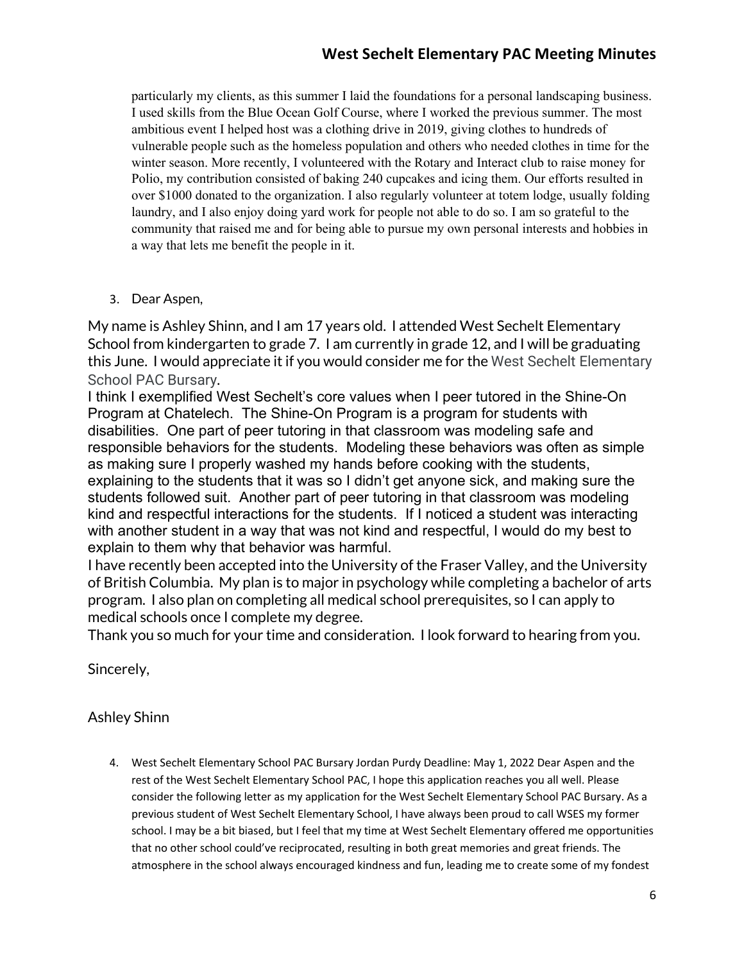# **West Sechelt Elementary PAC Meeting Minutes**

particularly my clients, as this summer I laid the foundations for a personal landscaping business. I used skills from the Blue Ocean Golf Course, where I worked the previous summer. The most ambitious event I helped host was a clothing drive in 2019, giving clothes to hundreds of vulnerable people such as the homeless population and others who needed clothes in time for the winter season. More recently, I volunteered with the Rotary and Interact club to raise money for Polio, my contribution consisted of baking 240 cupcakes and icing them. Our efforts resulted in over \$1000 donated to the organization. I also regularly volunteer at totem lodge, usually folding laundry, and I also enjoy doing yard work for people not able to do so. I am so grateful to the community that raised me and for being able to pursue my own personal interests and hobbies in a way that lets me benefit the people in it.

# 3. Dear Aspen,

My name is Ashley Shinn, and I am 17 years old. I attended West Sechelt Elementary School from kindergarten to grade 7. I am currently in grade 12, and I will be graduating this June. I would appreciate it if you would consider me for the West Sechelt Elementary School PAC Bursary.

I think I exemplified West Sechelt's core values when I peer tutored in the Shine-On Program at Chatelech. The Shine-On Program is a program for students with disabilities. One part of peer tutoring in that classroom was modeling safe and responsible behaviors for the students. Modeling these behaviors was often as simple as making sure I properly washed my hands before cooking with the students, explaining to the students that it was so I didn't get anyone sick, and making sure the students followed suit. Another part of peer tutoring in that classroom was modeling kind and respectful interactions for the students. If I noticed a student was interacting with another student in a way that was not kind and respectful, I would do my best to explain to them why that behavior was harmful.

I have recently been accepted into the University of the Fraser Valley, and the University of British Columbia. My plan is to major in psychology while completing a bachelor of arts program. I also plan on completing all medical school prerequisites, so I can apply to medical schools once I complete my degree.

Thank you so much for your time and consideration. I look forward to hearing from you.

Sincerely,

# Ashley Shinn

4. West Sechelt Elementary School PAC Bursary Jordan Purdy Deadline: May 1, 2022 Dear Aspen and the rest of the West Sechelt Elementary School PAC, I hope this application reaches you all well. Please consider the following letter as my application for the West Sechelt Elementary School PAC Bursary. As a previous student of West Sechelt Elementary School, I have always been proud to call WSES my former school. I may be a bit biased, but I feel that my time at West Sechelt Elementary offered me opportunities that no other school could've reciprocated, resulting in both great memories and great friends. The atmosphere in the school always encouraged kindness and fun, leading me to create some of my fondest